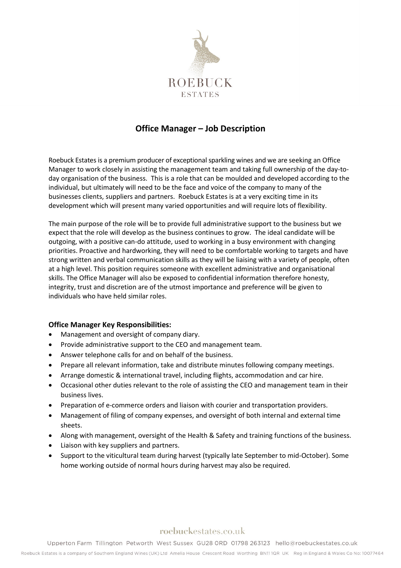

# **Office Manager – Job Description**

Roebuck Estates is a premium producer of exceptional sparkling wines and we are seeking an Office Manager to work closely in assisting the management team and taking full ownership of the day-today organisation of the business. This is a role that can be moulded and developed according to the individual, but ultimately will need to be the face and voice of the company to many of the businesses clients, suppliers and partners. Roebuck Estates is at a very exciting time in its development which will present many varied opportunities and will require lots of flexibility.

The main purpose of the role will be to provide full administrative support to the business but we expect that the role will develop as the business continues to grow. The ideal candidate will be outgoing, with a positive can-do attitude, used to working in a busy environment with changing priorities. Proactive and hardworking, they will need to be comfortable working to targets and have strong written and verbal communication skills as they will be liaising with a variety of people, often at a high level. This position requires someone with excellent administrative and organisational skills. The Office Manager will also be exposed to confidential information therefore honesty, integrity, trust and discretion are of the utmost importance and preference will be given to individuals who have held similar roles.

### **Office Manager Key Responsibilities:**

- Management and oversight of company diary.
- Provide administrative support to the CEO and management team.
- Answer telephone calls for and on behalf of the business.
- Prepare all relevant information, take and distribute minutes following company meetings.
- Arrange domestic & international travel, including flights, accommodation and car hire.
- Occasional other duties relevant to the role of assisting the CEO and management team in their business lives.
- Preparation of e-commerce orders and liaison with courier and transportation providers.
- Management of filing of company expenses, and oversight of both internal and external time sheets.
- Along with management, oversight of the Health & Safety and training functions of the business.
- Liaison with key suppliers and partners.
- Support to the viticultural team during harvest (typically late September to mid-October). Some home working outside of normal hours during harvest may also be required.

## roebuckestates.co.uk

Upperton Farm Tillington Petworth West Sussex GU28 ORD 01798 263123 hello@roebuckestates.co.uk